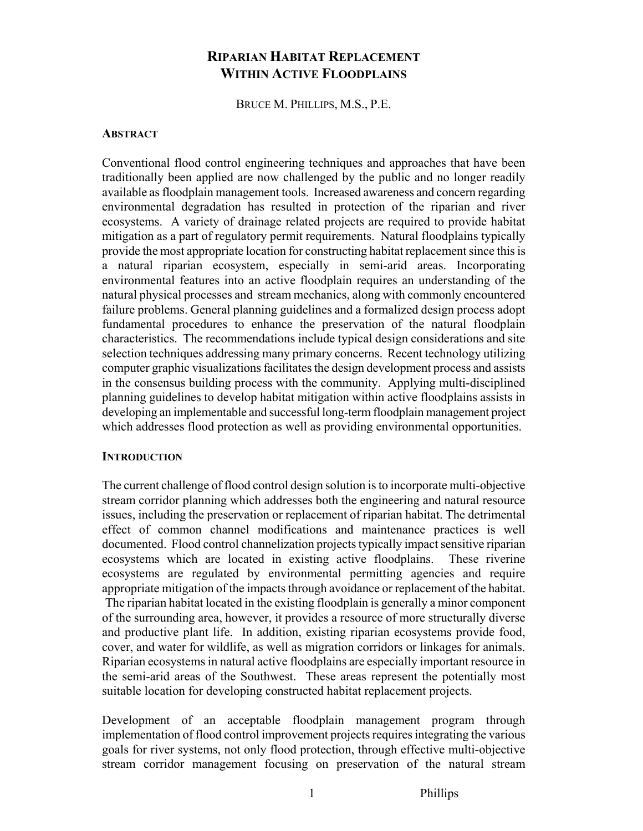# **RIPARIAN HABITAT REPLACEMENT WITHIN ACTIVE FLOODPLAINS**

BRUCE M. PHILLIPS, M.S., P.E.

#### **ABSTRACT**

Conventional flood control engineering techniques and approaches that have been traditionally been applied are now challenged by the public and no longer readily available as floodplain management tools. Increased awareness and concern regarding environmental degradation has resulted in protection of the riparian and river ecosystems. A variety of drainage related projects are required to provide habitat mitigation as a part of regulatory permit requirements. Natural floodplains typically provide the most appropriate location for constructing habitat replacement since this is a natural riparian ecosystem, especially in semi-arid areas. Incorporating environmental features into an active floodplain requires an understanding of the natural physical processes and stream mechanics, along with commonly encountered failure problems. General planning guidelines and a formalized design process adopt fundamental procedures to enhance the preservation of the natural floodplain characteristics. The recommendations include typical design considerations and site selection techniques addressing many primary concerns. Recent technology utilizing computer graphic visualizations facilitates the design development process and assists in the consensus building process with the community. Applying multi-disciplined planning guidelines to develop habitat mitigation within active floodplains assists in developing an implementable and successful long-term floodplain management project which addresses flood protection as well as providing environmental opportunities.

#### **INTRODUCTION**

The current challenge of flood control design solution is to incorporate multi-objective stream corridor planning which addresses both the engineering and natural resource issues, including the preservation or replacement of riparian habitat. The detrimental effect of common channel modifications and maintenance practices is well documented. Flood control channelization projects typically impact sensitive riparian ecosystems which are located in existing active floodplains. These riverine ecosystems are regulated by environmental permitting agencies and require appropriate mitigation of the impacts through avoidance or replacement of the habitat. The riparian habitat located in the existing floodplain is generally a minor component of the surrounding area, however, it provides a resource of more structurally diverse and productive plant life. In addition, existing riparian ecosystems provide food, cover, and water for wildlife, as well as migration corridors or linkages for animals. Riparian ecosystems in natural active floodplains are especially important resource in the semi-arid areas of the Southwest. These areas represent the potentially most suitable location for developing constructed habitat replacement projects.

Development of an acceptable floodplain management program through implementation of flood control improvement projects requires integrating the various goals for river systems, not only flood protection, through effective multi-objective stream corridor management focusing on preservation of the natural stream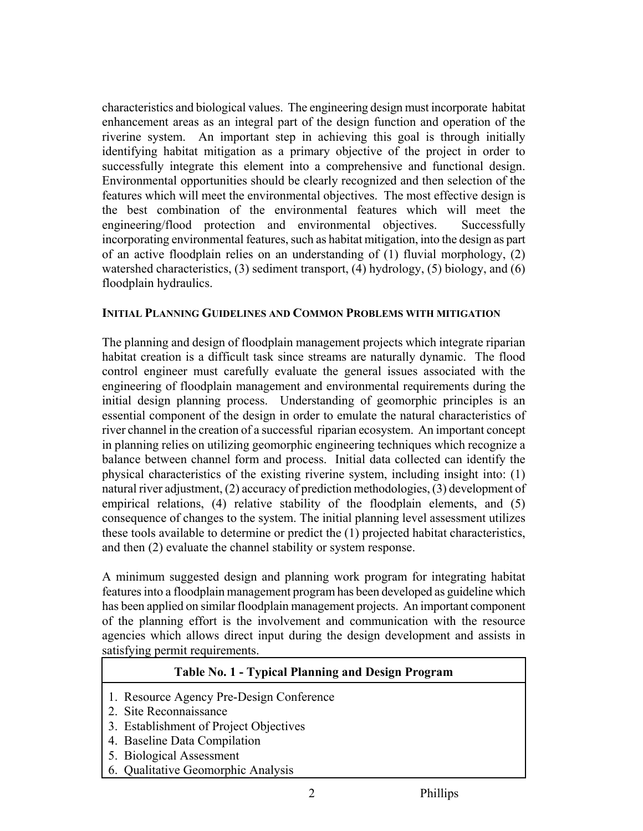characteristics and biological values. The engineering design must incorporate habitat enhancement areas as an integral part of the design function and operation of the riverine system. An important step in achieving this goal is through initially identifying habitat mitigation as a primary objective of the project in order to successfully integrate this element into a comprehensive and functional design. Environmental opportunities should be clearly recognized and then selection of the features which will meet the environmental objectives. The most effective design is the best combination of the environmental features which will meet the engineering/flood protection and environmental objectives. Successfully incorporating environmental features, such as habitat mitigation, into the design as part of an active floodplain relies on an understanding of (1) fluvial morphology, (2) watershed characteristics, (3) sediment transport, (4) hydrology, (5) biology, and (6) floodplain hydraulics.

## **INITIAL PLANNING GUIDELINES AND COMMON PROBLEMS WITH MITIGATION**

The planning and design of floodplain management projects which integrate riparian habitat creation is a difficult task since streams are naturally dynamic. The flood control engineer must carefully evaluate the general issues associated with the engineering of floodplain management and environmental requirements during the initial design planning process. Understanding of geomorphic principles is an essential component of the design in order to emulate the natural characteristics of river channel in the creation of a successful riparian ecosystem. An important concept in planning relies on utilizing geomorphic engineering techniques which recognize a balance between channel form and process. Initial data collected can identify the physical characteristics of the existing riverine system, including insight into: (1) natural river adjustment, (2) accuracy of prediction methodologies, (3) development of empirical relations, (4) relative stability of the floodplain elements, and (5) consequence of changes to the system. The initial planning level assessment utilizes these tools available to determine or predict the (1) projected habitat characteristics, and then (2) evaluate the channel stability or system response.

A minimum suggested design and planning work program for integrating habitat features into a floodplain management program has been developed as guideline which has been applied on similar floodplain management projects. An important component of the planning effort is the involvement and communication with the resource agencies which allows direct input during the design development and assists in satisfying permit requirements.

# **Table No. 1 - Typical Planning and Design Program**

- 1. Resource Agency Pre-Design Conference
- 2. Site Reconnaissance
- 3. Establishment of Project Objectives
- 4. Baseline Data Compilation
- 5. Biological Assessment
- 6. Qualitative Geomorphic Analysis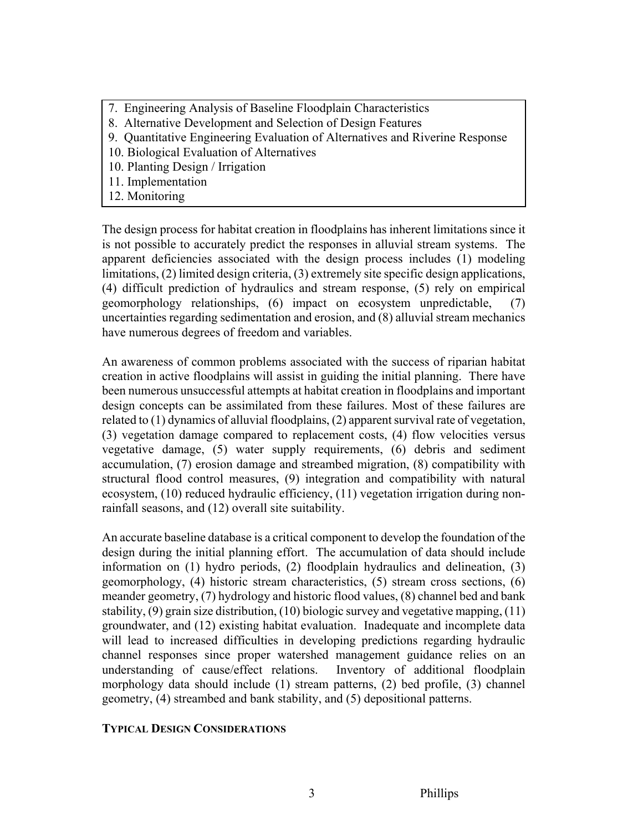- 7. Engineering Analysis of Baseline Floodplain Characteristics
- 8. Alternative Development and Selection of Design Features
- 9. Quantitative Engineering Evaluation of Alternatives and Riverine Response
- 10. Biological Evaluation of Alternatives
- 10. Planting Design / Irrigation
- 11. Implementation
- 12. Monitoring

The design process for habitat creation in floodplains has inherent limitations since it is not possible to accurately predict the responses in alluvial stream systems. The apparent deficiencies associated with the design process includes (1) modeling limitations, (2) limited design criteria, (3) extremely site specific design applications, (4) difficult prediction of hydraulics and stream response, (5) rely on empirical geomorphology relationships, (6) impact on ecosystem unpredictable, (7) uncertainties regarding sedimentation and erosion, and (8) alluvial stream mechanics have numerous degrees of freedom and variables.

An awareness of common problems associated with the success of riparian habitat creation in active floodplains will assist in guiding the initial planning. There have been numerous unsuccessful attempts at habitat creation in floodplains and important design concepts can be assimilated from these failures. Most of these failures are related to (1) dynamics of alluvial floodplains, (2) apparent survival rate of vegetation, (3) vegetation damage compared to replacement costs, (4) flow velocities versus vegetative damage, (5) water supply requirements, (6) debris and sediment accumulation, (7) erosion damage and streambed migration, (8) compatibility with structural flood control measures, (9) integration and compatibility with natural ecosystem, (10) reduced hydraulic efficiency, (11) vegetation irrigation during nonrainfall seasons, and (12) overall site suitability.

An accurate baseline database is a critical component to develop the foundation of the design during the initial planning effort. The accumulation of data should include information on (1) hydro periods, (2) floodplain hydraulics and delineation, (3) geomorphology, (4) historic stream characteristics, (5) stream cross sections, (6) meander geometry, (7) hydrology and historic flood values, (8) channel bed and bank stability, (9) grain size distribution, (10) biologic survey and vegetative mapping, (11) groundwater, and (12) existing habitat evaluation. Inadequate and incomplete data will lead to increased difficulties in developing predictions regarding hydraulic channel responses since proper watershed management guidance relies on an understanding of cause/effect relations. Inventory of additional floodplain morphology data should include (1) stream patterns, (2) bed profile, (3) channel geometry, (4) streambed and bank stability, and (5) depositional patterns.

# **TYPICAL DESIGN CONSIDERATIONS**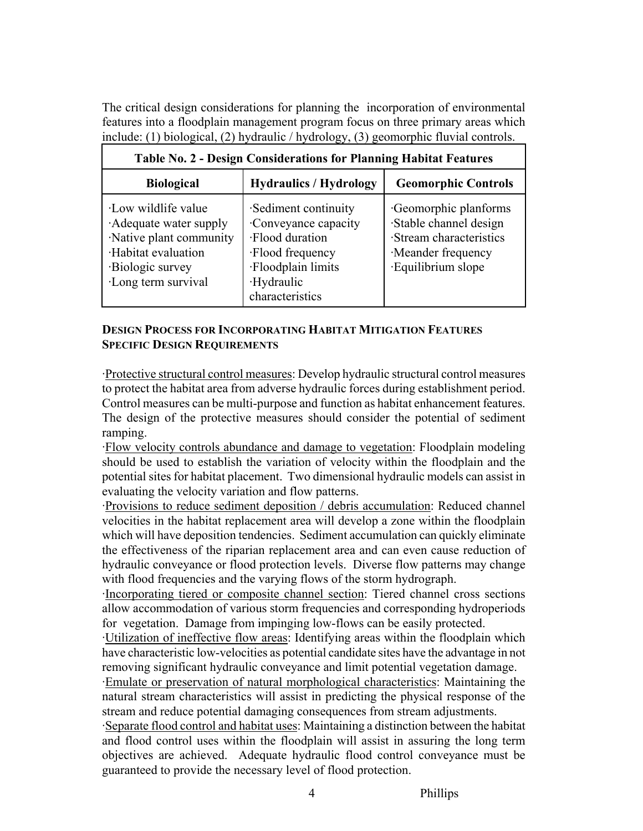The critical design considerations for planning the incorporation of environmental features into a floodplain management program focus on three primary areas which include: (1) biological, (2) hydraulic / hydrology, (3) geomorphic fluvial controls.

| Table No. 2 - Design Considerations for Planning Habitat Features                                                                      |                                                                                                                                           |                                                                                                                     |
|----------------------------------------------------------------------------------------------------------------------------------------|-------------------------------------------------------------------------------------------------------------------------------------------|---------------------------------------------------------------------------------------------------------------------|
| <b>Biological</b>                                                                                                                      | <b>Hydraulics / Hydrology</b>                                                                                                             | <b>Geomorphic Controls</b>                                                                                          |
| Low wildlife value<br>Adequate water supply<br>Native plant community<br>·Habitat evaluation<br>Biologic survey<br>·Long term survival | ·Sediment continuity<br>Conveyance capacity<br>·Flood duration<br>·Flood frequency<br>·Floodplain limits<br>·Hydraulic<br>characteristics | Geomorphic planforms<br>Stable channel design<br>·Stream characteristics<br>Meander frequency<br>·Equilibrium slope |

| Table No. 2 - Design Considerations for Planning Habitat Features |  |
|-------------------------------------------------------------------|--|

### **DESIGN PROCESS FOR INCORPORATING HABITAT MITIGATION FEATURES SPECIFIC DESIGN REQUIREMENTS**

·Protective structural control measures: Develop hydraulic structural control measures to protect the habitat area from adverse hydraulic forces during establishment period. Control measures can be multi-purpose and function as habitat enhancement features. The design of the protective measures should consider the potential of sediment ramping.

·Flow velocity controls abundance and damage to vegetation: Floodplain modeling should be used to establish the variation of velocity within the floodplain and the potential sites for habitat placement. Two dimensional hydraulic models can assist in evaluating the velocity variation and flow patterns.

·Provisions to reduce sediment deposition / debris accumulation: Reduced channel velocities in the habitat replacement area will develop a zone within the floodplain which will have deposition tendencies. Sediment accumulation can quickly eliminate the effectiveness of the riparian replacement area and can even cause reduction of hydraulic conveyance or flood protection levels. Diverse flow patterns may change with flood frequencies and the varying flows of the storm hydrograph.

·Incorporating tiered or composite channel section: Tiered channel cross sections allow accommodation of various storm frequencies and corresponding hydroperiods for vegetation. Damage from impinging low-flows can be easily protected.

·Utilization of ineffective flow areas: Identifying areas within the floodplain which have characteristic low-velocities as potential candidate sites have the advantage in not removing significant hydraulic conveyance and limit potential vegetation damage.

·Emulate or preservation of natural morphological characteristics: Maintaining the natural stream characteristics will assist in predicting the physical response of the stream and reduce potential damaging consequences from stream adjustments.

·Separate flood control and habitat uses: Maintaining a distinction between the habitat and flood control uses within the floodplain will assist in assuring the long term objectives are achieved. Adequate hydraulic flood control conveyance must be guaranteed to provide the necessary level of flood protection.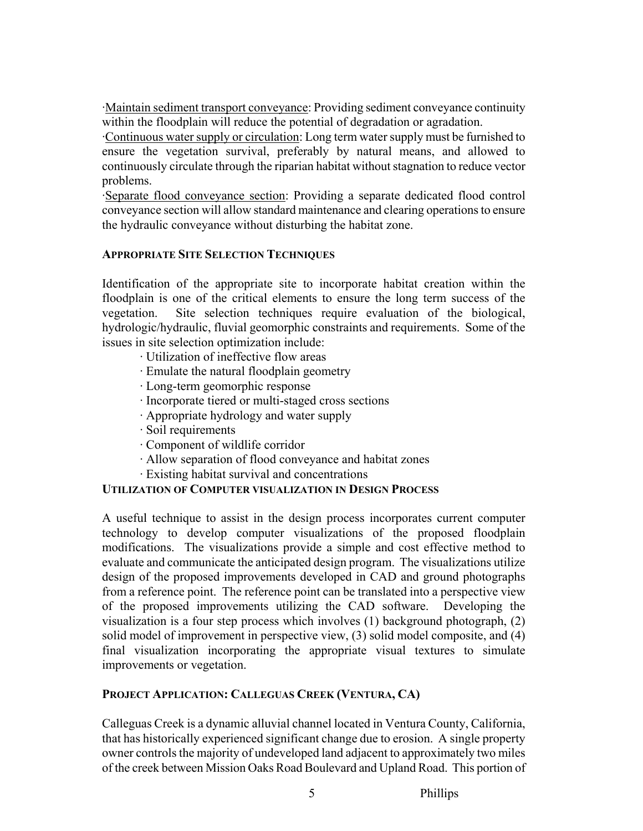·Maintain sediment transport conveyance: Providing sediment conveyance continuity within the floodplain will reduce the potential of degradation or agradation.

·Continuous water supply or circulation: Long term water supply must be furnished to ensure the vegetation survival, preferably by natural means, and allowed to continuously circulate through the riparian habitat without stagnation to reduce vector problems.

·Separate flood conveyance section: Providing a separate dedicated flood control conveyance section will allow standard maintenance and clearing operations to ensure the hydraulic conveyance without disturbing the habitat zone.

## **APPROPRIATE SITE SELECTION TECHNIQUES**

Identification of the appropriate site to incorporate habitat creation within the floodplain is one of the critical elements to ensure the long term success of the vegetation. Site selection techniques require evaluation of the biological, hydrologic/hydraulic, fluvial geomorphic constraints and requirements. Some of the issues in site selection optimization include:

- · Utilization of ineffective flow areas
- · Emulate the natural floodplain geometry
- · Long-term geomorphic response
- · Incorporate tiered or multi-staged cross sections
- · Appropriate hydrology and water supply
- · Soil requirements
- · Component of wildlife corridor
- · Allow separation of flood conveyance and habitat zones
- · Existing habitat survival and concentrations

#### **UTILIZATION OF COMPUTER VISUALIZATION IN DESIGN PROCESS**

A useful technique to assist in the design process incorporates current computer technology to develop computer visualizations of the proposed floodplain modifications. The visualizations provide a simple and cost effective method to evaluate and communicate the anticipated design program. The visualizations utilize design of the proposed improvements developed in CAD and ground photographs from a reference point. The reference point can be translated into a perspective view of the proposed improvements utilizing the CAD software. Developing the visualization is a four step process which involves (1) background photograph, (2) solid model of improvement in perspective view, (3) solid model composite, and (4) final visualization incorporating the appropriate visual textures to simulate improvements or vegetation.

# **PROJECT APPLICATION: CALLEGUAS CREEK (VENTURA, CA)**

Calleguas Creek is a dynamic alluvial channel located in Ventura County, California, that has historically experienced significant change due to erosion. A single property owner controls the majority of undeveloped land adjacent to approximately two miles of the creek between Mission Oaks Road Boulevard and Upland Road. This portion of